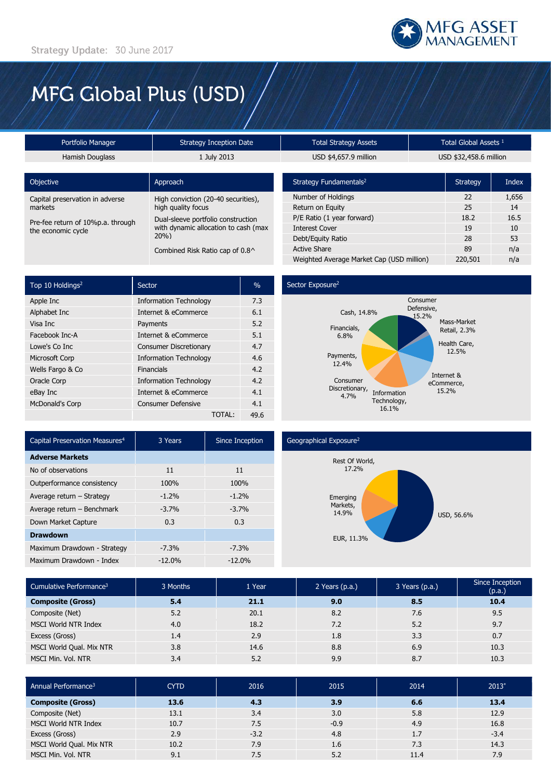

# MFG Global Plus (USD)

| Portfolio Manager                                       | <b>Strategy Inception Date</b>                                                    | <b>Total Strategy Assets</b>       |  | Total Global Assets <sup>1</sup> |       |
|---------------------------------------------------------|-----------------------------------------------------------------------------------|------------------------------------|--|----------------------------------|-------|
| Hamish Douglass                                         | 1 July 2013                                                                       | USD \$4,657.9 million              |  | USD \$32,458.6 million           |       |
|                                                         |                                                                                   |                                    |  |                                  |       |
| Objective                                               | Approach                                                                          | Strategy Fundamentals <sup>2</sup> |  | Strategy                         | Index |
| Capital preservation in adverse                         | High conviction (20-40 securities),<br>high quality focus                         | Number of Holdings                 |  | 22                               | 1,656 |
| markets                                                 |                                                                                   | Return on Equity                   |  | 25                               | 14    |
| Pre-fee return of 10%p.a. through<br>the economic cycle | Dual-sleeve portfolio construction<br>with dynamic allocation to cash (max<br>20% | P/E Ratio (1 year forward)         |  | 18.2                             | 16.5  |
|                                                         |                                                                                   | <b>Interest Cover</b>              |  | 19                               | 10    |
|                                                         |                                                                                   | Debt/Equity Ratio                  |  | 28                               | 53    |
|                                                         | Combined Risk Ratio cap of 0.8^                                                   | <b>Active Share</b>                |  | 89                               | n/a   |

| Top 10 Holdings <sup>2</sup> | Sector                        | $\%$ |
|------------------------------|-------------------------------|------|
| Apple Inc                    | <b>Information Technology</b> | 7.3  |
| Alphabet Inc                 | Internet & eCommerce          | 6.1  |
| Visa Inc                     | Payments                      | 5.2  |
| Facebook Inc-A               | Internet & eCommerce          | 5.1  |
| Lowe's Co Inc                | <b>Consumer Discretionary</b> | 4.7  |
| Microsoft Corp               | <b>Information Technology</b> | 4.6  |
| Wells Fargo & Co             | Financials                    | 4.2  |
| Oracle Corp                  | <b>Information Technology</b> | 4.2  |
| eBay Inc                     | Internet & eCommerce          | 4.1  |
| <b>McDonald's Corp</b>       | Consumer Defensive            | 4.1  |
|                              | TOTAL:                        | 49.6 |

### Sector Exposure<sup>2</sup>



Weighted Average Market Cap (USD million) 220,501 n/a

| Capital Preservation Measures <sup>4</sup> | 3 Years  | Since Inception |
|--------------------------------------------|----------|-----------------|
| <b>Adverse Markets</b>                     |          |                 |
| No of observations                         | 11       | 11              |
| Outperformance consistency                 | 100%     | 100%            |
| Average return - Strategy                  | $-1.2%$  | $-1.2%$         |
| Average return - Benchmark                 | $-3.7%$  | $-3.7%$         |
| Down Market Capture                        | 0.3      | 0.3             |
| <b>Drawdown</b>                            |          |                 |
| Maximum Drawdown - Strategy                | $-7.3%$  | $-7.3%$         |
| Maximum Drawdown - Index                   | $-12.0%$ | $-12.0%$        |

## Geographical Exposure<sup>2</sup>



| Cumulative Performance <sup>3</sup> | 3 Months | 1 Year | 2 Years (p.a.) | 3 Years (p.a.) | Since Inception<br>(p.a.) |
|-------------------------------------|----------|--------|----------------|----------------|---------------------------|
| <b>Composite (Gross)</b>            | 5.4      | 21.1   | 9.0            | 8.5            | 10.4                      |
| Composite (Net)                     | 5.2      | 20.1   | 8.2            | 7.6            | 9.5                       |
| <b>MSCI World NTR Index</b>         | 4.0      | 18.2   | 7.2            | 5.2            | 9.7                       |
| Excess (Gross)                      | 1.4      | 2.9    | 1.8            | 3.3            | 0.7                       |
| MSCI World Qual. Mix NTR            | 3.8      | 14.6   | 8.8            | 6.9            | 10.3                      |
| MSCI Min. Vol. NTR                  | 3.4      | 5.2    | 9.9            | 8.7            | 10.3                      |

| Annual Performance <sup>3</sup> | <b>CYTD</b> | 2016   | 2015   | 2014 | $2013*$ |
|---------------------------------|-------------|--------|--------|------|---------|
| <b>Composite (Gross)</b>        | 13.6        | 4.3    | 3.9    | 6.6  | 13.4    |
| Composite (Net)                 | 13.1        | 3.4    | 3.0    | 5.8  | 12.9    |
| MSCI World NTR Index            | 10.7        | 7.5    | $-0.9$ | 4.9  | 16.8    |
| Excess (Gross)                  | 2.9         | $-3.2$ | 4.8    | 1.7  | $-3.4$  |
| MSCI World Qual. Mix NTR        | 10.2        | 7.9    | 1.6    | 7.3  | 14.3    |
| MSCI Min. Vol. NTR              | 9.1         | 7.5    | 5.2    | 11.4 | 7.9     |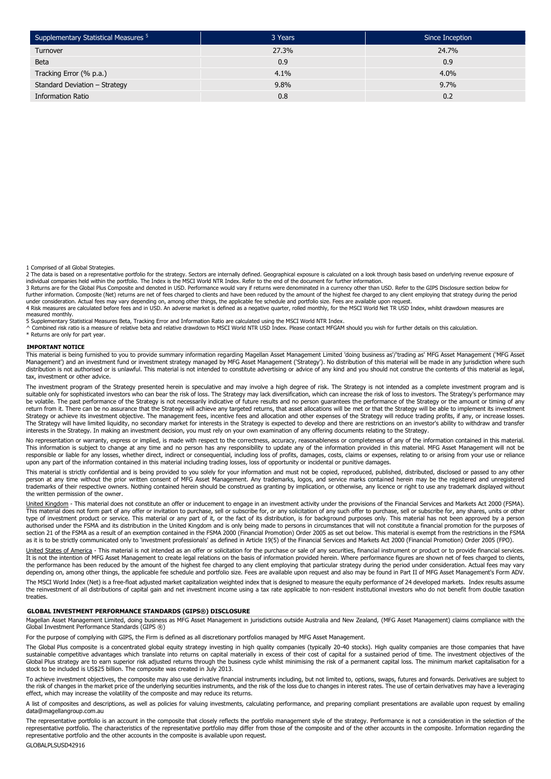| Supplementary Statistical Measures <sup>5</sup> | 3 Years | Since Inception |
|-------------------------------------------------|---------|-----------------|
| Turnover                                        | 27.3%   | 24.7%           |
| <b>Beta</b>                                     | 0.9     | 0.9             |
| Tracking Error (% p.a.)                         | $4.1\%$ | $4.0\%$         |
| Standard Deviation - Strategy                   | 9.8%    | 9.7%            |
| <b>Information Ratio</b>                        | 0.8     | 0.2             |

1 Comprised of all Global Strategies.

2 The data is based on a representative portfolio for the strategy. Sectors are internally defined. Geographical exposure is calculated on a look through basis based on underlying revenue exposure of<br>individual companies h

3 Returns are for the Global Plus Composite and denoted in USD. Performance would vary if returns were denominated in a currency other than USD. Refer to the GIPS Disclosure section below for further information. Composite (Net) returns are net of fees charged to clients and have been reduced by the amount of the highest fee charged to any client employing that strategy during the period<br>under consideration. Ac

4 Risk measures are calculated before fees and in USD. An adverse market is defined as a negative quarter, rolled monthly, for the MSCI World Net TR USD Index, whilst drawdown measures are measured monthly.

5 Supplementary Statistical Measures Beta, Tracking Error and Information Ratio are calculated using the MSCI World NTR Index.<br>^ Combined risk ratio is a measure of relative beta and relative drawdown to MSCI World NTR USD

\* Returns are only for part year.

#### **IMPORTANT NOTICE**

This material is being furnished to you to provide summary information regarding Magellan Asset Management Limited 'doing business as'/'trading as' MFG Asset Management ('MFG Asset Management') and an investment fund or investment strategy managed by MFG Asset Management ('Strategy'). No distribution of this material will be made in any jurisdiction where such<br>distribution is not authorised or is unl tax, investment or other advice.

The investment program of the Strategy presented herein is speculative and may involve a high degree of risk. The Strategy is not intended as a complete investment program and is suitable only for sophisticated investors who can bear the risk of loss. The Strategy may lack diversification, which can increase the risk of loss to investors. The Strategy's performance may be volatile. The past performance of the Strategy is not necessarily indicative of future results and no person guarantees the performance of the Strategy or the amount or timing of any return from it. There can be no assurance that the Strategy will achieve any targeted returns, that asset allocations will be met or that the Strategy will be able to implement its investment Strategy or achieve its investment objective. The management fees, incentive fees and allocation and other expenses of the Strategy will reduce trading profits, if any, or increase losses. The Strategy will have limited liquidity, no secondary market for interests in the Strategy is expected to develop and there are restrictions on an investor's ability to withdraw and transfer interests in the Strategy. In making an investment decision, you must rely on your own examination of any offering documents relating to the Strategy.

No representation or warranty, express or implied, is made with respect to the correctness, accuracy, reasonableness or completeness of any of the information contained in this material. This information is subject to change at any time and no person has any responsibility to update any of the information provided in this material. MFG Asset Management will not be<br>responsible or liable for any losses, whet upon any part of the information contained in this material including trading losses, loss of opportunity or incidental or punitive damages.

This material is strictly confidential and is being provided to you solely for your information and must not be copied, reproduced, published, distributed, disclosed or passed to any other person at any time without the prior written consent of MFG Asset Management. Any trademarks, logos, and service marks contained herein may be the registered and unregistered trademarks of their respective owners. Nothing contained herein should be construed as granting by implication, or otherwise, any licence or right to use any trademark displayed without the written permission of the owner.

<u>United Kingdom</u> - This material does not constitute an offer or inducement to engage in an investment activity under the provisions of the Financial Services and Markets Act 2000 (FSMA).<br>This material does not form part o type of investment product or service. This material or any part of it, or the fact of its distribution, is for background purposes only. This material has not been approved by a person authorised under the FSMA and its distribution in the United Kingdom and is only being made to persons in circumstances that will not constitute a financial promotion for the purposes of<br>section 21 of the FSMA as a result

United States of America - This material is not intended as an offer or solicitation for the purchase or sale of any securities, financial instrument or product or to provide financial services. It is not the intention of MFG Asset Management to create legal relations on the basis of information provided herein. Where performance figures are shown net of fees charged to clients, the performance has been reduced by the amount of the highest fee charged to any client employing that particular strategy during the period under consideration. Actual fees may vary<br>depending on, among other things, the a

The MSCI World Index (Net) is a free-float adjusted market capitalization weighted index that is designed to measure the equity performance of 24 developed markets. Index results assume<br>the reinvestment of all distribution treaties

#### **GLOBAL INVESTMENT PERFORMANCE STANDARDS (GIPS®) DISCLOSURE**

Magellan Asset Management Limited, doing business as MFG Asset Management in jurisdictions outside Australia and New Zealand, (MFG Asset Management) claims compliance with the Global Investment Performance Standards (GIPS ®)

For the purpose of complying with GIPS, the Firm is defined as all discretionary portfolios managed by MFG Asset Management.

The Global Plus composite is a concentrated global equity strategy investing in high quality companies (typically 20-40 stocks). High quality companies are those companies that have sustainable competitive advantages which translate into returns on capital materially in excess of their cost of capital for a sustained period of time. The investment objectives of the Global Plus strategy are to earn superior risk adjusted returns through the business cycle whilst minimising the risk of a permanent capital loss. The minimum market capitalisation for a stock to be included is US\$25 billion. The composite was created in July 2013.

To achieve investment objectives, the composite may also use derivative financial instruments including, but not limited to, options, swaps, futures and forwards. Derivatives are subject to the risk of changes in the market price of the underlying securities instruments, and the risk of the loss due to changes in interest rates. The use of certain derivatives may have a leveraging<br>effect, which may increase t

A list of composites and descriptions, as well as policies for valuing investments, calculating performance, and preparing compliant presentations are available upon request by emailing data@magellangroup.com.au

The representative portfolio is an account in the composite that closely reflects the portfolio management style of the strategy. Performance is not a consideration in the selection of the representative portfolio. The characteristics of the representative portfolio may differ from those of the composite and of the other accounts in the composite. Information regarding the<br>representative portfolio and the ot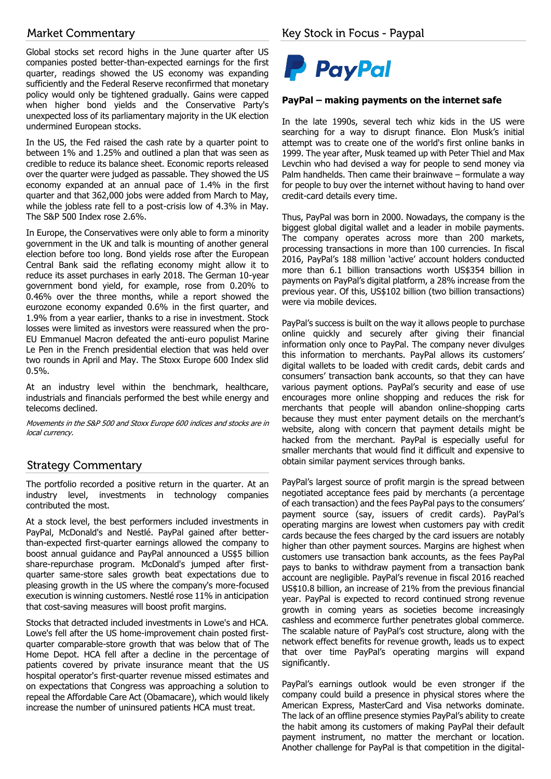# **Market Commentary**

Global stocks set record highs in the June quarter after US companies posted better-than-expected earnings for the first quarter, readings showed the US economy was expanding sufficiently and the Federal Reserve reconfirmed that monetary policy would only be tightened gradually. Gains were capped when higher bond yields and the Conservative Party's unexpected loss of its parliamentary majority in the UK election undermined European stocks.

In the US, the Fed raised the cash rate by a quarter point to between 1% and 1.25% and outlined a plan that was seen as credible to reduce its balance sheet. Economic reports released over the quarter were judged as passable. They showed the US economy expanded at an annual pace of 1.4% in the first quarter and that 362,000 jobs were added from March to May, while the jobless rate fell to a post-crisis low of 4.3% in May. The S&P 500 Index rose 2.6%.

In Europe, the Conservatives were only able to form a minority government in the UK and talk is mounting of another general election before too long. Bond yields rose after the European Central Bank said the reflating economy might allow it to reduce its asset purchases in early 2018. The German 10-year government bond yield, for example, rose from 0.20% to 0.46% over the three months, while a report showed the eurozone economy expanded 0.6% in the first quarter, and 1.9% from a year earlier, thanks to a rise in investment. Stock losses were limited as investors were reassured when the pro-EU Emmanuel Macron defeated the anti-euro populist Marine Le Pen in the French presidential election that was held over two rounds in April and May. The Stoxx Europe 600 Index slid 0.5%.

At an industry level within the benchmark, healthcare, industrials and financials performed the best while energy and telecoms declined.

Movements in the S&P 500 and Stoxx Europe 600 indices and stocks are in local currency.

# **Strategy Commentary**

The portfolio recorded a positive return in the quarter. At an industry level, investments in technology companies contributed the most.

At a stock level, the best performers included investments in PayPal, McDonald's and Nestlé. PayPal gained after betterthan-expected first-quarter earnings allowed the company to boost annual guidance and PayPal announced a US\$5 billion share-repurchase program. McDonald's jumped after firstquarter same-store sales growth beat expectations due to pleasing growth in the US where the company's more-focused execution is winning customers. Nestlé rose 11% in anticipation that cost-saving measures will boost profit margins.

Stocks that detracted included investments in Lowe's and HCA. Lowe's fell after the US home-improvement chain posted firstquarter comparable-store growth that was below that of The Home Depot. HCA fell after a decline in the percentage of patients covered by private insurance meant that the US hospital operator's first-quarter revenue missed estimates and on expectations that Congress was approaching a solution to repeal the Affordable Care Act (Obamacare), which would likely increase the number of uninsured patients HCA must treat.



# **PayPal – making payments on the internet safe**

In the late 1990s, several tech whiz kids in the US were searching for a way to disrupt finance. Elon Musk's initial attempt was to create one of the world's first online banks in 1999. The year after, Musk teamed up with Peter Thiel and Max Levchin who had devised a way for people to send money via Palm handhelds. Then came their brainwave – formulate a way for people to buy over the internet without having to hand over credit-card details every time.

Thus, PayPal was born in 2000. Nowadays, the company is the biggest global digital wallet and a leader in mobile payments. The company operates across more than 200 markets, processing transactions in more than 100 currencies. In fiscal 2016, PayPal's 188 million 'active' account holders conducted more than 6.1 billion transactions worth US\$354 billion in payments on PayPal's digital platform, a 28% increase from the previous year. Of this, US\$102 billion (two billion transactions) were via mobile devices.

PayPal's success is built on the way it allows people to purchase online quickly and securely after giving their financial information only once to PayPal. The company never divulges this information to merchants. PayPal allows its customers' digital wallets to be loaded with credit cards, debit cards and consumers' transaction bank accounts, so that they can have various payment options. PayPal's security and ease of use encourages more online shopping and reduces the risk for merchants that people will abandon online-shopping carts because they must enter payment details on the merchant's website, along with concern that payment details might be hacked from the merchant. PayPal is especially useful for smaller merchants that would find it difficult and expensive to obtain similar payment services through banks.

PayPal's largest source of profit margin is the spread between negotiated acceptance fees paid by merchants (a percentage of each transaction) and the fees PayPal pays to the consumers' payment source (say, issuers of credit cards). PayPal's operating margins are lowest when customers pay with credit cards because the fees charged by the card issuers are notably higher than other payment sources. Margins are highest when customers use transaction bank accounts, as the fees PayPal pays to banks to withdraw payment from a transaction bank account are negligible. PayPal's revenue in fiscal 2016 reached US\$10.8 billion, an increase of 21% from the previous financial year. PayPal is expected to record continued strong revenue growth in coming years as societies become increasingly cashless and ecommerce further penetrates global commerce. The scalable nature of PayPal's cost structure, along with the network effect benefits for revenue growth, leads us to expect that over time PayPal's operating margins will expand significantly.

PayPal's earnings outlook would be even stronger if the company could build a presence in physical stores where the American Express, MasterCard and Visa networks dominate. The lack of an offline presence stymies PayPal's ability to create the habit among its customers of making PayPal their default payment instrument, no matter the merchant or location. Another challenge for PayPal is that competition in the digital